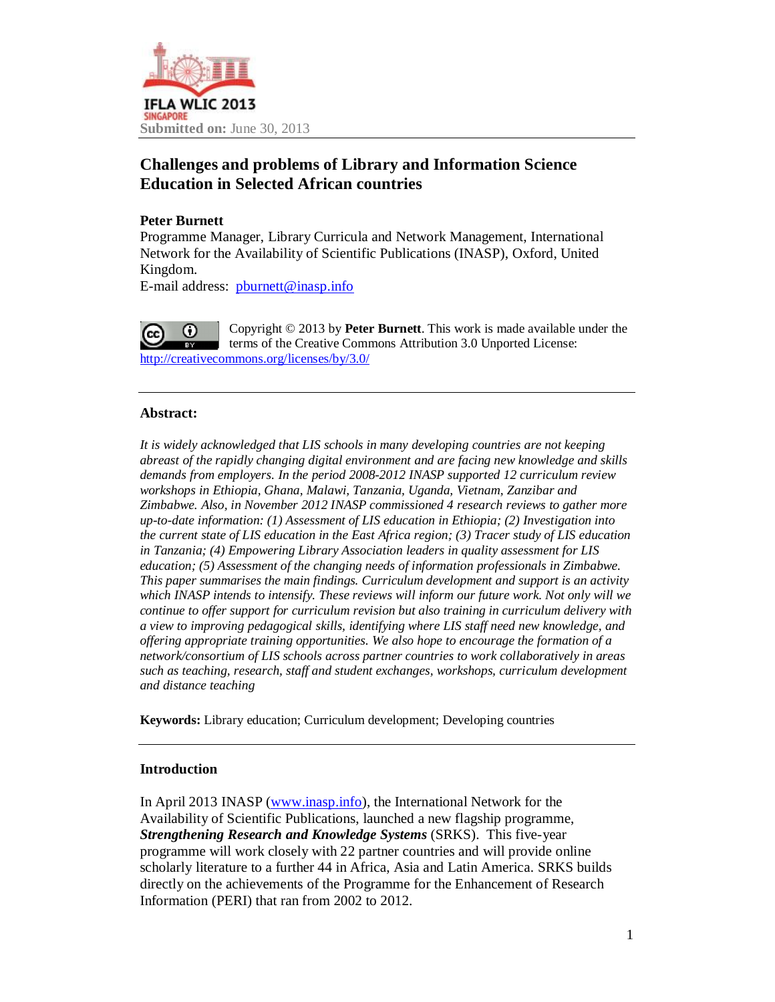

# **Challenges and problems of Library and Information Science Education in Selected African countries**

### **Peter Burnett**

Programme Manager, Library Curricula and Network Management, International Network for the Availability of Scientific Publications (INASP), Oxford, United Kingdom.

E-mail address: [pburnett@inasp.info](mailto:pburnett@inasp.info)

Copyright © 2013 by **Peter Burnett**. This work is made available under the  $\left( \cdot \right)$ terms of the Creative Commons Attribution 3.0 Unported License: <http://creativecommons.org/licenses/by/3.0/>

### **Abstract:**

*It is widely acknowledged that LIS schools in many developing countries are not keeping abreast of the rapidly changing digital environment and are facing new knowledge and skills demands from employers. In the period 2008-2012 INASP supported 12 curriculum review workshops in Ethiopia, Ghana, Malawi, Tanzania, Uganda, Vietnam, Zanzibar and Zimbabwe. Also, in November 2012 INASP commissioned 4 research reviews to gather more up-to-date information: (1) Assessment of LIS education in Ethiopia; (2) Investigation into the current state of LIS education in the East Africa region; (3) Tracer study of LIS education in Tanzania; (4) Empowering Library Association leaders in quality assessment for LIS education; (5) Assessment of the changing needs of information professionals in Zimbabwe. This paper summarises the main findings. Curriculum development and support is an activity which INASP intends to intensify. These reviews will inform our future work. Not only will we continue to offer support for curriculum revision but also training in curriculum delivery with a view to improving pedagogical skills, identifying where LIS staff need new knowledge, and offering appropriate training opportunities. We also hope to encourage the formation of a network/consortium of LIS schools across partner countries to work collaboratively in areas such as teaching, research, staff and student exchanges, workshops, curriculum development and distance teaching* 

**Keywords:** Library education; Curriculum development; Developing countries

#### **Introduction**

In April 2013 INASP ([www.inasp.info\),](http://www.inasp.info),) the International Network for the Availability of Scientific Publications, launched a new flagship programme, *Strengthening Research and Knowledge Systems* (SRKS). This five-year programme will work closely with 22 partner countries and will provide online scholarly literature to a further 44 in Africa, Asia and Latin America. SRKS builds directly on the achievements of the Programme for the Enhancement of Research Information (PERI) that ran from 2002 to 2012.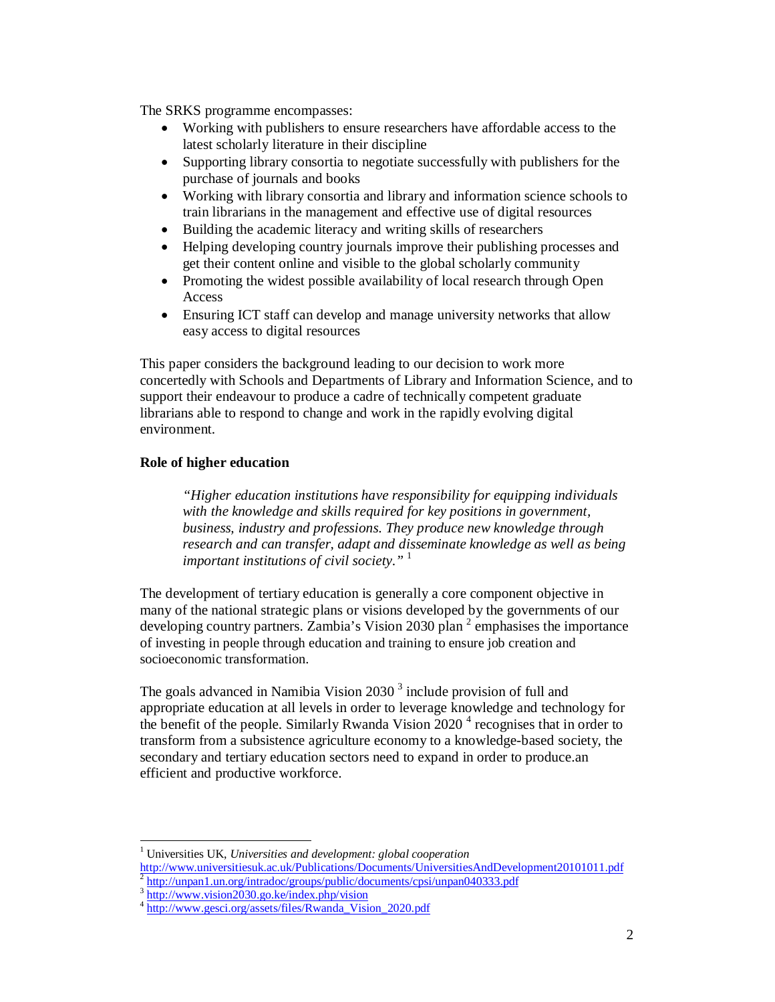The SRKS programme encompasses:

- Working with publishers to ensure researchers have affordable access to the latest scholarly literature in their discipline
- Supporting library consortia to negotiate successfully with publishers for the purchase of journals and books
- Working with library consortia and library and information science schools to train librarians in the management and effective use of digital resources
- Building the academic literacy and writing skills of researchers
- Helping developing country journals improve their publishing processes and get their content online and visible to the global scholarly community
- Promoting the widest possible availability of local research through Open Access
- Ensuring ICT staff can develop and manage university networks that allow easy access to digital resources

This paper considers the background leading to our decision to work more concertedly with Schools and Departments of Library and Information Science, and to support their endeavour to produce a cadre of technically competent graduate librarians able to respond to change and work in the rapidly evolving digital environment.

#### **Role of higher education**

*"Higher education institutions have responsibility for equipping individuals with the knowledge and skills required for key positions in government, business, industry and professions. They produce new knowledge through research and can transfer, adapt and disseminate knowledge as well as being important institutions of civil society."* 1

The development of tertiary education is generally a core component objective in many of the national strategic plans or visions developed by the governments of our developing country partners. Zambia's Vision 2030 plan<sup>2</sup> emphasises the importance of investing in people through education and training to ensure job creation and socioeconomic transformation.

The goals advanced in Namibia Vision 2030<sup>3</sup> include provision of full and appropriate education at all levels in order to leverage knowledge and technology for the benefit of the people. Similarly Rwanda Vision  $2020<sup>4</sup>$  recognises that in order to transform from a subsistence agriculture economy to a knowledge-based society, the secondary and tertiary education sectors need to expand in order to produce.an efficient and productive workforce.

 $\overline{a}$ <sup>1</sup> Universities UK, *Universities and development: global cooperation* <http://www.universitiesuk.ac.uk/Publications/Documents/UniversitiesAndDevelopment20101011.pdf>

<sup>2</sup> <http://unpan1.un.org/intradoc/groups/public/documents/cpsi/unpan040333.pdf>

<sup>&</sup>lt;sup>3</sup> <http://www.vision2030.go.ke/index.php/vision>

<sup>&</sup>lt;sup>4</sup> [http://www.gesci.org/assets/files/Rwanda\\_Vision\\_2020.pdf](http://www.gesci.org/assets/files/Rwanda_Vision_2020.pdf)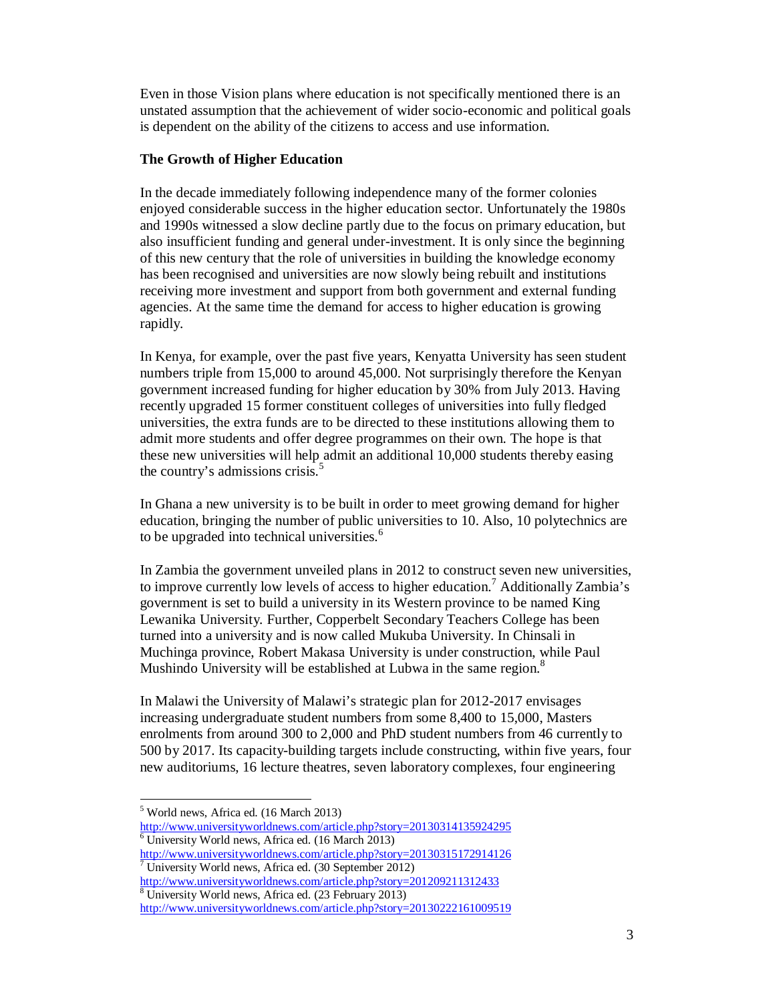Even in those Vision plans where education is not specifically mentioned there is an unstated assumption that the achievement of wider socio-economic and political goals is dependent on the ability of the citizens to access and use information.

#### **The Growth of Higher Education**

In the decade immediately following independence many of the former colonies enjoyed considerable success in the higher education sector. Unfortunately the 1980s and 1990s witnessed a slow decline partly due to the focus on primary education, but also insufficient funding and general under-investment. It is only since the beginning of this new century that the role of universities in building the knowledge economy has been recognised and universities are now slowly being rebuilt and institutions receiving more investment and support from both government and external funding agencies. At the same time the demand for access to higher education is growing rapidly.

In Kenya, for example, over the past five years, Kenyatta University has seen student numbers triple from 15,000 to around 45,000. Not surprisingly therefore the Kenyan government increased funding for higher education by 30% from July 2013. Having recently upgraded 15 former constituent colleges of universities into fully fledged universities, the extra funds are to be directed to these institutions allowing them to admit more students and offer degree programmes on their own. The hope is that these new universities will help admit an additional 10,000 students thereby easing the country's admissions crisis.<sup>5</sup>

In Ghana a new university is to be built in order to meet growing demand for higher education, bringing the number of public universities to 10. Also, 10 polytechnics are to be upgraded into technical universities.<sup>6</sup>

In Zambia the government unveiled plans in 2012 to construct seven new universities, to improve currently low levels of access to higher education.<sup>7</sup> Additionally Zambia's government is set to build a university in its Western province to be named King Lewanika University. Further, Copperbelt Secondary Teachers College has been turned into a university and is now called Mukuba University. In Chinsali in Muchinga province, Robert Makasa University is under construction, while Paul Mushindo University will be established at Lubwa in the same region.<sup>8</sup>

In Malawi the University of Malawi's strategic plan for 2012-2017 envisages increasing undergraduate student numbers from some 8,400 to 15,000, Masters enrolments from around 300 to 2,000 and PhD student numbers from 46 currently to 500 by 2017. Its capacity-building targets include constructing, within five years, four new auditoriums, 16 lecture theatres, seven laboratory complexes, four engineering

 $\overline{a}$ 

<sup>5</sup> World news, Africa ed. (16 March 2013)

<http://www.universityworldnews.com/article.php?story=20130314135924295>  $\sqrt[6]{\text{University World news}}$ , Africa ed. (16 March 2013)

<http://www.universityworldnews.com/article.php?story=20130315172914126>  $7$  University World news, Africa ed. (30 September 2012)

<http://www.universityworldnews.com/article.php?story=201209211312433> <sup>8</sup> University World news, Africa ed. (23 February 2013)

<http://www.universityworldnews.com/article.php?story=20130222161009519>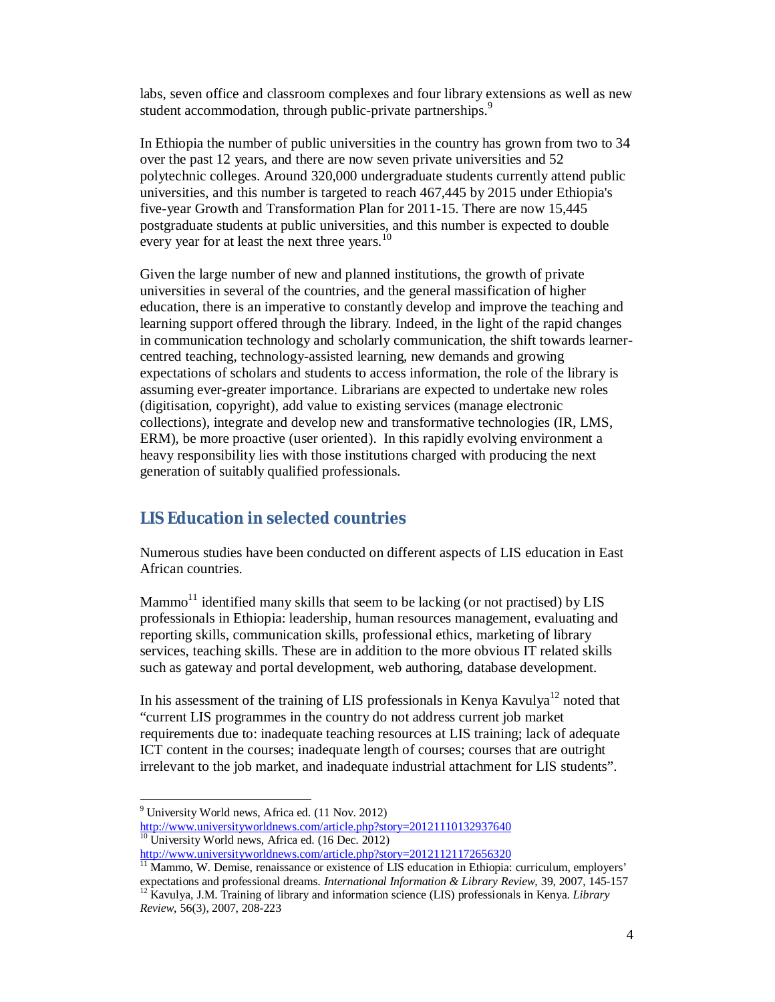labs, seven office and classroom complexes and four library extensions as well as new student accommodation, through public-private partnerships.

In Ethiopia the number of public universities in the country has grown from two to 34 over the past 12 years, and there are now seven private universities and 52 polytechnic colleges. Around 320,000 undergraduate students currently attend public universities, and this number is targeted to reach 467,445 by 2015 under Ethiopia's five-year Growth and Transformation Plan for 2011-15. There are now 15,445 postgraduate students at public universities, and this number is expected to double every year for at least the next three years.<sup>10</sup>

Given the large number of new and planned institutions, the growth of private universities in several of the countries, and the general massification of higher education, there is an imperative to constantly develop and improve the teaching and learning support offered through the library. Indeed, in the light of the rapid changes in communication technology and scholarly communication, the shift towards learnercentred teaching, technology-assisted learning, new demands and growing expectations of scholars and students to access information, the role of the library is assuming ever-greater importance. Librarians are expected to undertake new roles (digitisation, copyright), add value to existing services (manage electronic collections), integrate and develop new and transformative technologies (IR, LMS, ERM), be more proactive (user oriented). In this rapidly evolving environment a heavy responsibility lies with those institutions charged with producing the next generation of suitably qualified professionals.

## **LIS Education in selected countries**

Numerous studies have been conducted on different aspects of LIS education in East African countries.

 $Mammo<sup>11</sup>$  identified many skills that seem to be lacking (or not practised) by LIS professionals in Ethiopia: leadership, human resources management, evaluating and reporting skills, communication skills, professional ethics, marketing of library services, teaching skills. These are in addition to the more obvious IT related skills such as gateway and portal development, web authoring, database development.

In his assessment of the training of LIS professionals in Kenya Kavulya<sup>12</sup> noted that "current LIS programmes in the country do not address current job market requirements due to: inadequate teaching resources at LIS training; lack of adequate ICT content in the courses; inadequate length of courses; courses that are outright irrelevant to the job market, and inadequate industrial attachment for LIS students".

 $\ddot{\phantom{a}}$ 

 $<sup>9</sup>$  University World news, Africa ed. (11 Nov. 2012)</sup>

<http://www.universityworldnews.com/article.php?story=20121110132937640>  $\frac{10}{10}$  University World news, Africa ed. (16 Dec. 2012)

<http://www.universityworldnews.com/article.php?story=20121121172656320>

 $\overline{11}$  Mammo, W. Demise, renaissance or existence of LIS education in Ethiopia: curriculum, employers' expectations and professional dreams. *International Information & Library Review*, 39, 2007, 145-157 <sup>12</sup> Kavulya, J.M. Training of library and information science (LIS) professionals in Kenya. *Library*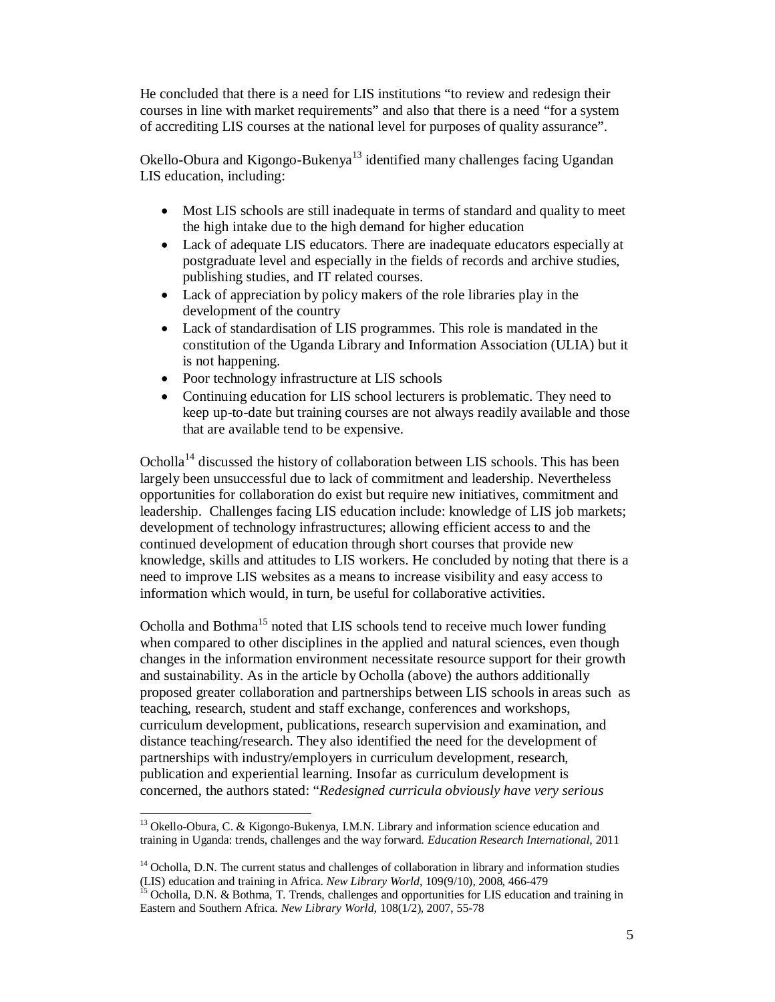He concluded that there is a need for LIS institutions "to review and redesign their courses in line with market requirements" and also that there is a need "for a system of accrediting LIS courses at the national level for purposes of quality assurance".

Okello-Obura and Kigongo-Bukenya<sup>13</sup> identified many challenges facing Ugandan LIS education, including:

- Most LIS schools are still inadequate in terms of standard and quality to meet the high intake due to the high demand for higher education
- Lack of adequate LIS educators. There are inadequate educators especially at postgraduate level and especially in the fields of records and archive studies, publishing studies, and IT related courses.
- Lack of appreciation by policy makers of the role libraries play in the development of the country
- Lack of standardisation of LIS programmes. This role is mandated in the constitution of the Uganda Library and Information Association (ULIA) but it is not happening.
- Poor technology infrastructure at LIS schools
- Continuing education for LIS school lecturers is problematic. They need to keep up-to-date but training courses are not always readily available and those that are available tend to be expensive.

Ocholla<sup>14</sup> discussed the history of collaboration between LIS schools. This has been largely been unsuccessful due to lack of commitment and leadership. Nevertheless opportunities for collaboration do exist but require new initiatives, commitment and leadership. Challenges facing LIS education include: knowledge of LIS job markets; development of technology infrastructures; allowing efficient access to and the continued development of education through short courses that provide new knowledge, skills and attitudes to LIS workers. He concluded by noting that there is a need to improve LIS websites as a means to increase visibility and easy access to information which would, in turn, be useful for collaborative activities.

Ocholla and Bothma<sup>15</sup> noted that LIS schools tend to receive much lower funding when compared to other disciplines in the applied and natural sciences, even though changes in the information environment necessitate resource support for their growth and sustainability. As in the article by Ocholla (above) the authors additionally proposed greater collaboration and partnerships between LIS schools in areas such as teaching, research, student and staff exchange, conferences and workshops, curriculum development, publications, research supervision and examination, and distance teaching/research. They also identified the need for the development of partnerships with industry/employers in curriculum development, research, publication and experiential learning. Insofar as curriculum development is concerned, the authors stated: "*Redesigned curricula obviously have very serious* 

 $\ddot{\phantom{a}}$ <sup>13</sup> Okello-Obura, C. & Kigongo-Bukenya, I.M.N. Library and information science education and training in Uganda: trends, challenges and the way forward. *Education Research International*, 2011

<sup>&</sup>lt;sup>14</sup> Ocholla, D.N. The current status and challenges of collaboration in library and information studies (LIS) education and training in Africa. *New Library World*, 109(9/10), 2008, 466-479

<sup>15</sup> Ocholla, D.N. & Bothma, T. Trends, challenges and opportunities for LIS education and training in Eastern and Southern Africa. *New Library World*, 108(1/2), 2007, 55-78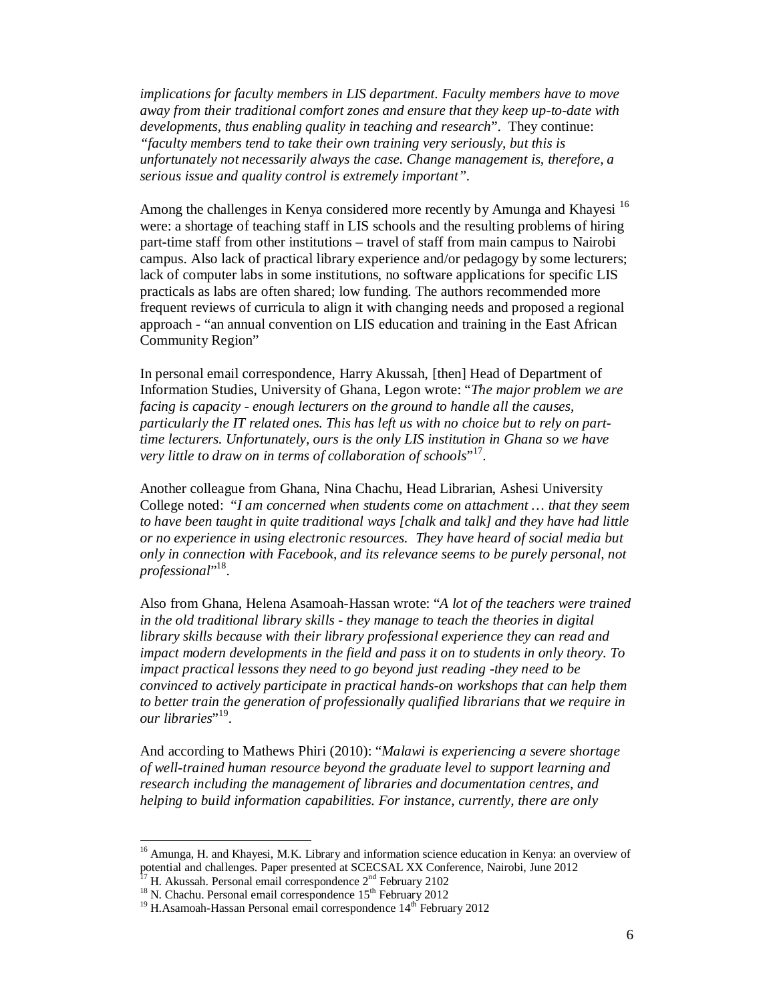*implications for faculty members in LIS department. Faculty members have to move away from their traditional comfort zones and ensure that they keep up-to-date with developments, thus enabling quality in teaching and research*". They continue: *"faculty members tend to take their own training very seriously, but this is unfortunately not necessarily always the case. Change management is, therefore, a serious issue and quality control is extremely important".*

Among the challenges in Kenya considered more recently by Amunga and Khayesi<sup>16</sup> were: a shortage of teaching staff in LIS schools and the resulting problems of hiring part-time staff from other institutions – travel of staff from main campus to Nairobi campus. Also lack of practical library experience and/or pedagogy by some lecturers; lack of computer labs in some institutions, no software applications for specific LIS practicals as labs are often shared; low funding. The authors recommended more frequent reviews of curricula to align it with changing needs and proposed a regional approach - "an annual convention on LIS education and training in the East African Community Region"

In personal email correspondence, Harry Akussah, [then] Head of Department of Information Studies, University of Ghana, Legon wrote: "*The major problem we are facing is capacity - enough lecturers on the ground to handle all the causes, particularly the IT related ones. This has left us with no choice but to rely on parttime lecturers. Unfortunately, ours is the only LIS institution in Ghana so we have very little to draw on in terms of collaboration of schools*" 17 .

Another colleague from Ghana, Nina Chachu, Head Librarian, Ashesi University College noted: "*I am concerned when students come on attachment … that they seem to have been taught in quite traditional ways [chalk and talk] and they have had little or no experience in using electronic resources. They have heard of social media but only in connection with Facebook, and its relevance seems to be purely personal, not professional*" 18 .

Also from Ghana, Helena Asamoah-Hassan wrote: "*A lot of the teachers were trained in the old traditional library skills - they manage to teach the theories in digital library skills because with their library professional experience they can read and impact modern developments in the field and pass it on to students in only theory. To impact practical lessons they need to go beyond just reading -they need to be convinced to actively participate in practical hands-on workshops that can help them to better train the generation of professionally qualified librarians that we require in*  our libraries"<sup>19</sup>.

And according to Mathews Phiri (2010): "*Malawi is experiencing a severe shortage of well-trained human resource beyond the graduate level to support learning and research including the management of libraries and documentation centres, and helping to build information capabilities. For instance, currently, there are only* 

 $\overline{a}$ 

<sup>&</sup>lt;sup>16</sup> Amunga, H. and Khayesi, M.K. Library and information science education in Kenya: an overview of potential and challenges. Paper presented at SCECSAL XX Conference, Nairobi, June 2012

 $17$  H. Akussah. Personal email correspondence  $2<sup>nd</sup>$  February 2102

 $18$  N. Chachu. Personal email correspondence  $15<sup>th</sup>$  February 2012

<sup>&</sup>lt;sup>19</sup> H.Asamoah-Hassan Personal email correspondence 14<sup>th</sup> February 2012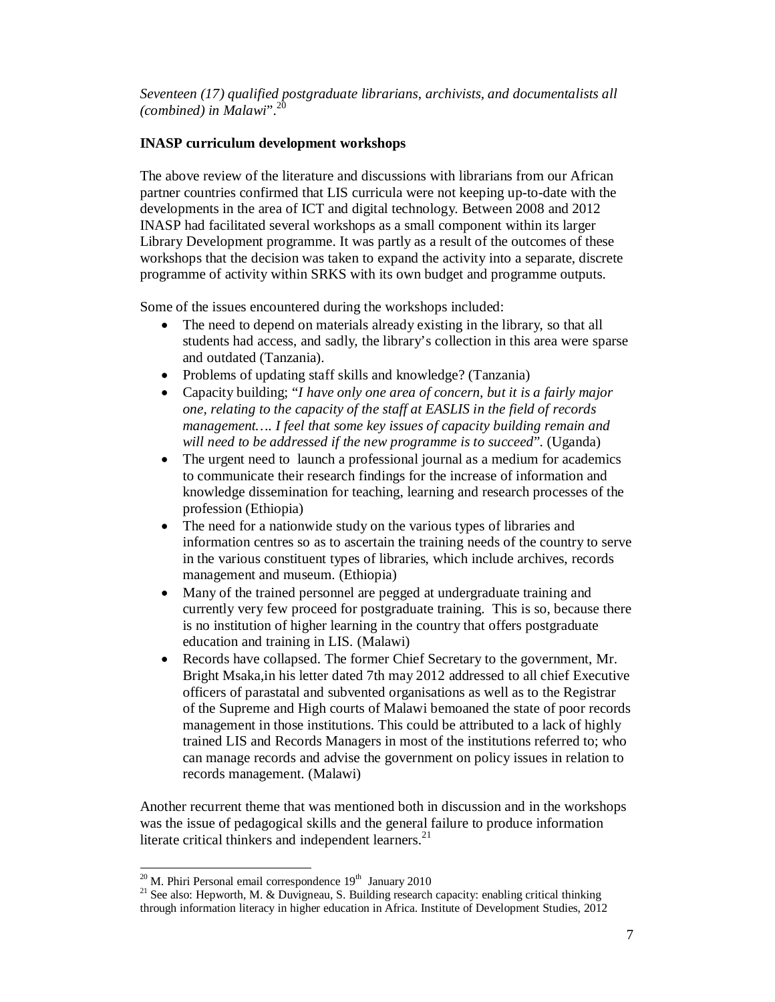*Seventeen (17) qualified postgraduate librarians, archivists, and documentalists all (combined) in Malawi*".<sup>20</sup>

#### **INASP curriculum development workshops**

The above review of the literature and discussions with librarians from our African partner countries confirmed that LIS curricula were not keeping up-to-date with the developments in the area of ICT and digital technology. Between 2008 and 2012 INASP had facilitated several workshops as a small component within its larger Library Development programme. It was partly as a result of the outcomes of these workshops that the decision was taken to expand the activity into a separate, discrete programme of activity within SRKS with its own budget and programme outputs.

Some of the issues encountered during the workshops included:

- The need to depend on materials already existing in the library, so that all students had access, and sadly, the library's collection in this area were sparse and outdated (Tanzania).
- Problems of updating staff skills and knowledge? (Tanzania)
- Capacity building; "*I have only one area of concern, but it is a fairly major one, relating to the capacity of the staff at EASLIS in the field of records management…. I feel that some key issues of capacity building remain and will need to be addressed if the new programme is to succeed*". (Uganda)
- The urgent need to launch a professional journal as a medium for academics to communicate their research findings for the increase of information and knowledge dissemination for teaching, learning and research processes of the profession (Ethiopia)
- The need for a nationwide study on the various types of libraries and information centres so as to ascertain the training needs of the country to serve in the various constituent types of libraries, which include archives, records management and museum. (Ethiopia)
- Many of the trained personnel are pegged at undergraduate training and currently very few proceed for postgraduate training. This is so, because there is no institution of higher learning in the country that offers postgraduate education and training in LIS. (Malawi)
- Records have collapsed. The former Chief Secretary to the government, Mr. Bright Msaka,in his letter dated 7th may 2012 addressed to all chief Executive officers of parastatal and subvented organisations as well as to the Registrar of the Supreme and High courts of Malawi bemoaned the state of poor records management in those institutions. This could be attributed to a lack of highly trained LIS and Records Managers in most of the institutions referred to; who can manage records and advise the government on policy issues in relation to records management. (Malawi)

Another recurrent theme that was mentioned both in discussion and in the workshops was the issue of pedagogical skills and the general failure to produce information literate critical thinkers and independent learners. $^{21}$ 

 $\overline{a}$  $^{20}$  M. Phiri Personal email correspondence  $19<sup>th</sup>$  January 2010

<sup>&</sup>lt;sup>21</sup> See also: Hepworth, M. & Duvigneau, S. Building research capacity: enabling critical thinking through information literacy in higher education in Africa. Institute of Development Studies, 2012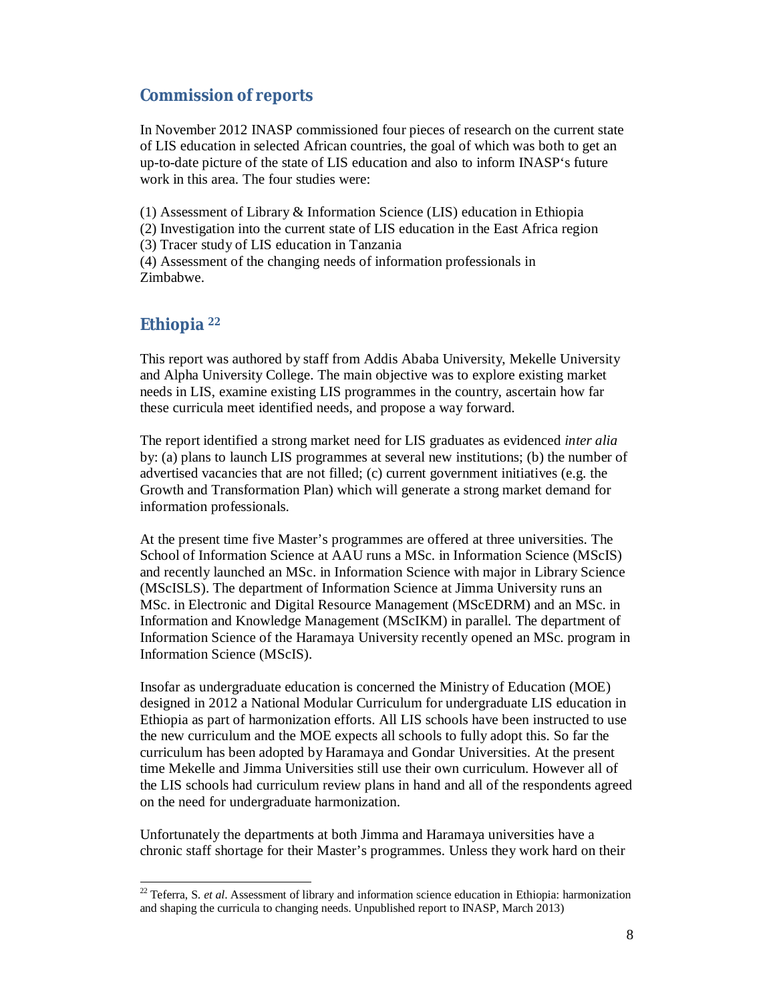## **Commission of reports**

In November 2012 INASP commissioned four pieces of research on the current state of LIS education in selected African countries, the goal of which was both to get an up-to-date picture of the state of LIS education and also to inform INASP's future work in this area. The four studies were:

(1) Assessment of Library & Information Science (LIS) education in Ethiopia

(2) Investigation into the current state of LIS education in the East Africa region

(3) Tracer study of LIS education in Tanzania

(4) Assessment of the changing needs of information professionals in Zimbabwe.

## **Ethiopia <sup>22</sup>**

 $\overline{a}$ 

This report was authored by staff from Addis Ababa University, Mekelle University and Alpha University College. The main objective was to explore existing market needs in LIS, examine existing LIS programmes in the country, ascertain how far these curricula meet identified needs, and propose a way forward.

The report identified a strong market need for LIS graduates as evidenced *inter alia* by: (a) plans to launch LIS programmes at several new institutions; (b) the number of advertised vacancies that are not filled; (c) current government initiatives (e.g. the Growth and Transformation Plan) which will generate a strong market demand for information professionals.

At the present time five Master's programmes are offered at three universities. The School of Information Science at AAU runs a MSc. in Information Science (MScIS) and recently launched an MSc. in Information Science with major in Library Science (MScISLS). The department of Information Science at Jimma University runs an MSc. in Electronic and Digital Resource Management (MScEDRM) and an MSc. in Information and Knowledge Management (MScIKM) in parallel. The department of Information Science of the Haramaya University recently opened an MSc. program in Information Science (MScIS).

Insofar as undergraduate education is concerned the Ministry of Education (MOE) designed in 2012 a National Modular Curriculum for undergraduate LIS education in Ethiopia as part of harmonization efforts. All LIS schools have been instructed to use the new curriculum and the MOE expects all schools to fully adopt this. So far the curriculum has been adopted by Haramaya and Gondar Universities. At the present time Mekelle and Jimma Universities still use their own curriculum. However all of the LIS schools had curriculum review plans in hand and all of the respondents agreed on the need for undergraduate harmonization.

Unfortunately the departments at both Jimma and Haramaya universities have a chronic staff shortage for their Master's programmes. Unless they work hard on their

<sup>22</sup> Teferra, S. *et al*. Assessment of library and information science education in Ethiopia: harmonization and shaping the curricula to changing needs. Unpublished report to INASP, March 2013)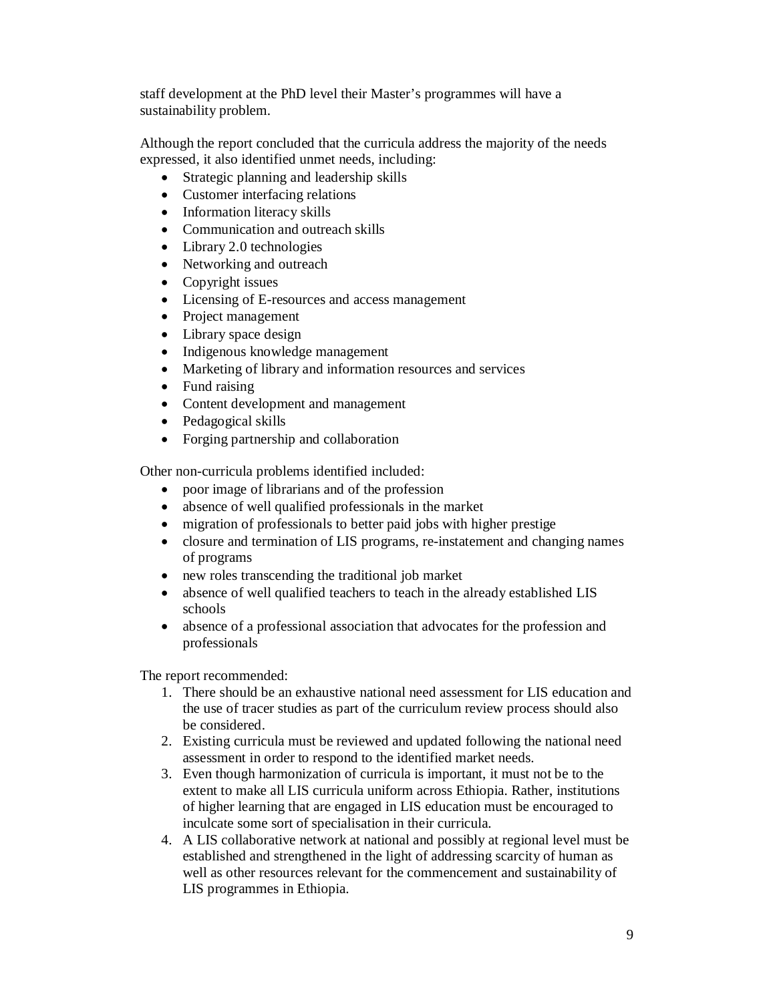staff development at the PhD level their Master's programmes will have a sustainability problem.

Although the report concluded that the curricula address the majority of the needs expressed, it also identified unmet needs, including:

- Strategic planning and leadership skills
- Customer interfacing relations
- Information literacy skills
- Communication and outreach skills
- Library 2.0 technologies
- Networking and outreach
- Copyright issues
- Licensing of E-resources and access management
- Project management
- Library space design
- Indigenous knowledge management
- Marketing of library and information resources and services
- Fund raising
- Content development and management
- Pedagogical skills
- Forging partnership and collaboration

Other non-curricula problems identified included:

- poor image of librarians and of the profession
- absence of well qualified professionals in the market
- migration of professionals to better paid jobs with higher prestige
- closure and termination of LIS programs, re-instatement and changing names of programs
- new roles transcending the traditional job market
- absence of well qualified teachers to teach in the already established LIS schools
- absence of a professional association that advocates for the profession and professionals

The report recommended:

- 1. There should be an exhaustive national need assessment for LIS education and the use of tracer studies as part of the curriculum review process should also be considered.
- 2. Existing curricula must be reviewed and updated following the national need assessment in order to respond to the identified market needs.
- 3. Even though harmonization of curricula is important, it must not be to the extent to make all LIS curricula uniform across Ethiopia. Rather, institutions of higher learning that are engaged in LIS education must be encouraged to inculcate some sort of specialisation in their curricula.
- 4. A LIS collaborative network at national and possibly at regional level must be established and strengthened in the light of addressing scarcity of human as well as other resources relevant for the commencement and sustainability of LIS programmes in Ethiopia.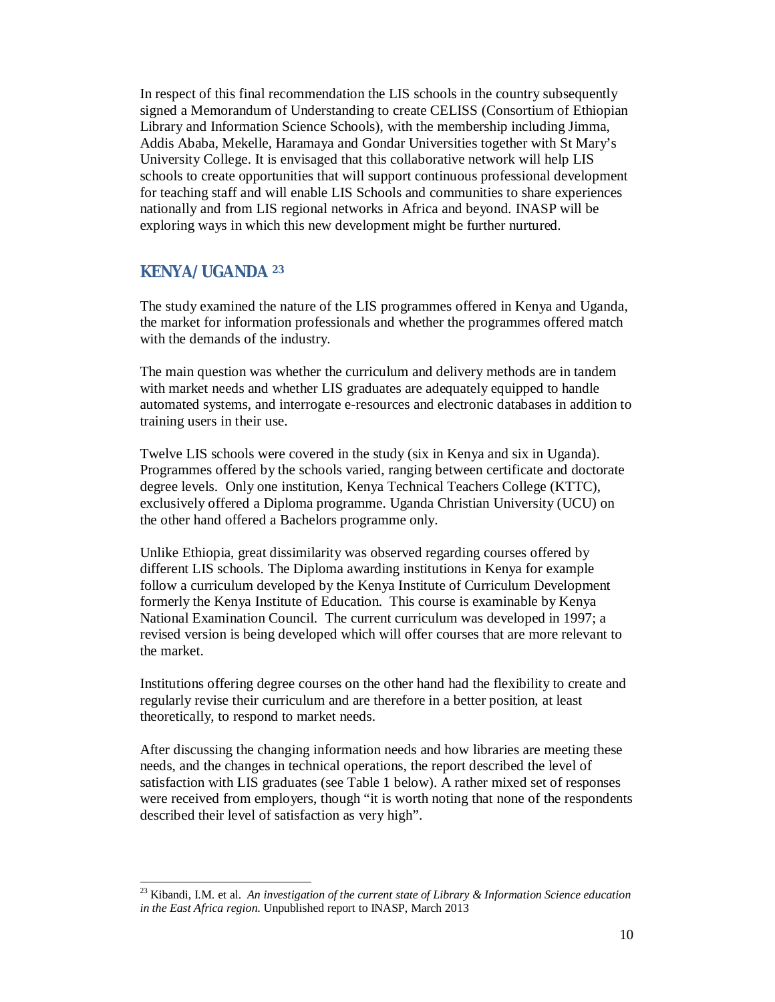In respect of this final recommendation the LIS schools in the country subsequently signed a Memorandum of Understanding to create CELISS (Consortium of Ethiopian Library and Information Science Schools), with the membership including Jimma, Addis Ababa, Mekelle, Haramaya and Gondar Universities together with St Mary's University College. It is envisaged that this collaborative network will help LIS schools to create opportunities that will support continuous professional development for teaching staff and will enable LIS Schools and communities to share experiences nationally and from LIS regional networks in Africa and beyond. INASP will be exploring ways in which this new development might be further nurtured.

### **KENYA/UGANDA <sup>23</sup>**

 $\overline{a}$ 

The study examined the nature of the LIS programmes offered in Kenya and Uganda, the market for information professionals and whether the programmes offered match with the demands of the industry.

The main question was whether the curriculum and delivery methods are in tandem with market needs and whether LIS graduates are adequately equipped to handle automated systems, and interrogate e-resources and electronic databases in addition to training users in their use.

Twelve LIS schools were covered in the study (six in Kenya and six in Uganda). Programmes offered by the schools varied, ranging between certificate and doctorate degree levels. Only one institution, Kenya Technical Teachers College (KTTC), exclusively offered a Diploma programme. Uganda Christian University (UCU) on the other hand offered a Bachelors programme only.

Unlike Ethiopia, great dissimilarity was observed regarding courses offered by different LIS schools. The Diploma awarding institutions in Kenya for example follow a curriculum developed by the Kenya Institute of Curriculum Development formerly the Kenya Institute of Education. This course is examinable by Kenya National Examination Council. The current curriculum was developed in 1997; a revised version is being developed which will offer courses that are more relevant to the market.

Institutions offering degree courses on the other hand had the flexibility to create and regularly revise their curriculum and are therefore in a better position, at least theoretically, to respond to market needs.

After discussing the changing information needs and how libraries are meeting these needs, and the changes in technical operations, the report described the level of satisfaction with LIS graduates (see Table 1 below). A rather mixed set of responses were received from employers, though "it is worth noting that none of the respondents described their level of satisfaction as very high".

<sup>23</sup> Kibandi, I.M. et al. *An investigation of the current state of Library & Information Science education in the East Africa region*. Unpublished report to INASP, March 2013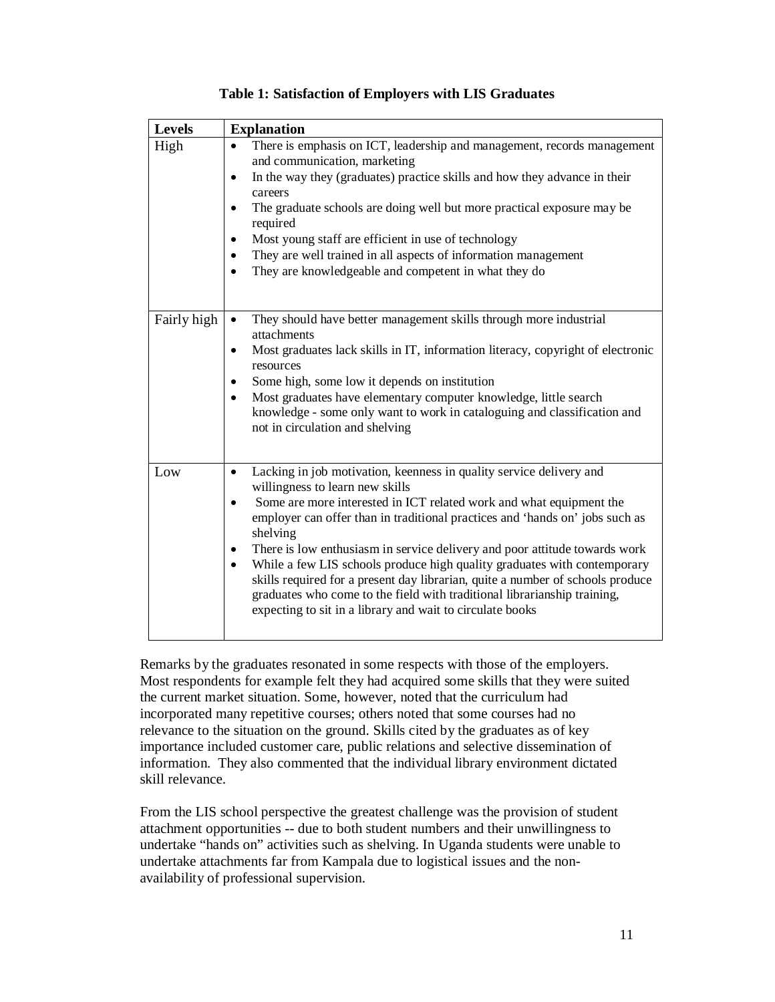| <b>Levels</b> | <b>Explanation</b>                                                                                                                                                                                                                                                                                                                                                                                                                                                                                                                                                                                                                                                                                                 |
|---------------|--------------------------------------------------------------------------------------------------------------------------------------------------------------------------------------------------------------------------------------------------------------------------------------------------------------------------------------------------------------------------------------------------------------------------------------------------------------------------------------------------------------------------------------------------------------------------------------------------------------------------------------------------------------------------------------------------------------------|
| High          | There is emphasis on ICT, leadership and management, records management<br>$\bullet$<br>and communication, marketing<br>In the way they (graduates) practice skills and how they advance in their<br>$\bullet$<br>careers<br>The graduate schools are doing well but more practical exposure may be<br>$\bullet$<br>required<br>Most young staff are efficient in use of technology<br>$\bullet$<br>They are well trained in all aspects of information management<br>$\bullet$<br>They are knowledgeable and competent in what they do                                                                                                                                                                            |
| Fairly high   | They should have better management skills through more industrial<br>$\bullet$<br>attachments<br>Most graduates lack skills in IT, information literacy, copyright of electronic<br>$\bullet$<br>resources<br>Some high, some low it depends on institution<br>$\bullet$<br>Most graduates have elementary computer knowledge, little search<br>$\bullet$<br>knowledge - some only want to work in cataloguing and classification and<br>not in circulation and shelving                                                                                                                                                                                                                                           |
| Low           | Lacking in job motivation, keenness in quality service delivery and<br>$\bullet$<br>willingness to learn new skills<br>Some are more interested in ICT related work and what equipment the<br>$\bullet$<br>employer can offer than in traditional practices and 'hands on' jobs such as<br>shelving<br>There is low enthusiasm in service delivery and poor attitude towards work<br>$\bullet$<br>While a few LIS schools produce high quality graduates with contemporary<br>$\bullet$<br>skills required for a present day librarian, quite a number of schools produce<br>graduates who come to the field with traditional librarianship training,<br>expecting to sit in a library and wait to circulate books |

**Table 1: Satisfaction of Employers with LIS Graduates**

Remarks by the graduates resonated in some respects with those of the employers. Most respondents for example felt they had acquired some skills that they were suited the current market situation. Some, however, noted that the curriculum had incorporated many repetitive courses; others noted that some courses had no relevance to the situation on the ground. Skills cited by the graduates as of key importance included customer care, public relations and selective dissemination of information. They also commented that the individual library environment dictated skill relevance.

From the LIS school perspective the greatest challenge was the provision of student attachment opportunities -- due to both student numbers and their unwillingness to undertake "hands on" activities such as shelving. In Uganda students were unable to undertake attachments far from Kampala due to logistical issues and the nonavailability of professional supervision.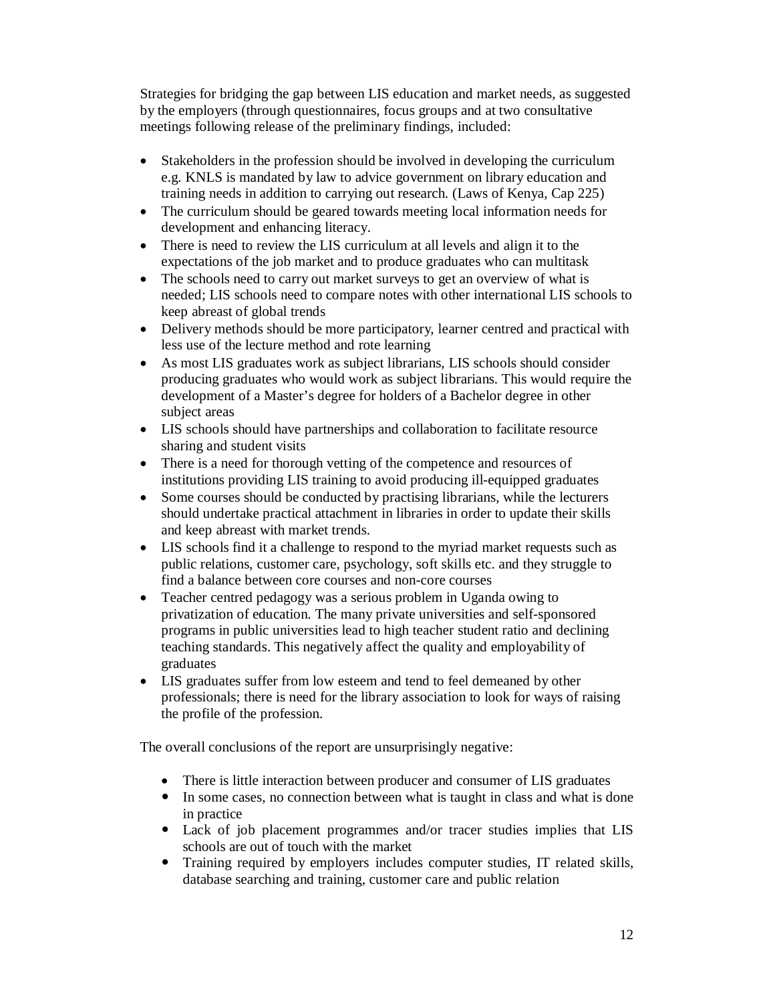Strategies for bridging the gap between LIS education and market needs, as suggested by the employers (through questionnaires, focus groups and at two consultative meetings following release of the preliminary findings, included:

- Stakeholders in the profession should be involved in developing the curriculum e.g. KNLS is mandated by law to advice government on library education and training needs in addition to carrying out research. (Laws of Kenya, Cap 225)
- The curriculum should be geared towards meeting local information needs for development and enhancing literacy.
- There is need to review the LIS curriculum at all levels and align it to the expectations of the job market and to produce graduates who can multitask
- The schools need to carry out market surveys to get an overview of what is needed; LIS schools need to compare notes with other international LIS schools to keep abreast of global trends
- Delivery methods should be more participatory, learner centred and practical with less use of the lecture method and rote learning
- As most LIS graduates work as subject librarians, LIS schools should consider producing graduates who would work as subject librarians. This would require the development of a Master's degree for holders of a Bachelor degree in other subject areas
- LIS schools should have partnerships and collaboration to facilitate resource sharing and student visits
- There is a need for thorough vetting of the competence and resources of institutions providing LIS training to avoid producing ill-equipped graduates
- Some courses should be conducted by practising librarians, while the lecturers should undertake practical attachment in libraries in order to update their skills and keep abreast with market trends.
- LIS schools find it a challenge to respond to the myriad market requests such as public relations, customer care, psychology, soft skills etc. and they struggle to find a balance between core courses and non-core courses
- Teacher centred pedagogy was a serious problem in Uganda owing to privatization of education. The many private universities and self-sponsored programs in public universities lead to high teacher student ratio and declining teaching standards. This negatively affect the quality and employability of graduates
- LIS graduates suffer from low esteem and tend to feel demeaned by other professionals; there is need for the library association to look for ways of raising the profile of the profession.

The overall conclusions of the report are unsurprisingly negative:

- There is little interaction between producer and consumer of LIS graduates
- In some cases, no connection between what is taught in class and what is done in practice
- Lack of job placement programmes and/or tracer studies implies that LIS schools are out of touch with the market
- Training required by employers includes computer studies, IT related skills, database searching and training, customer care and public relation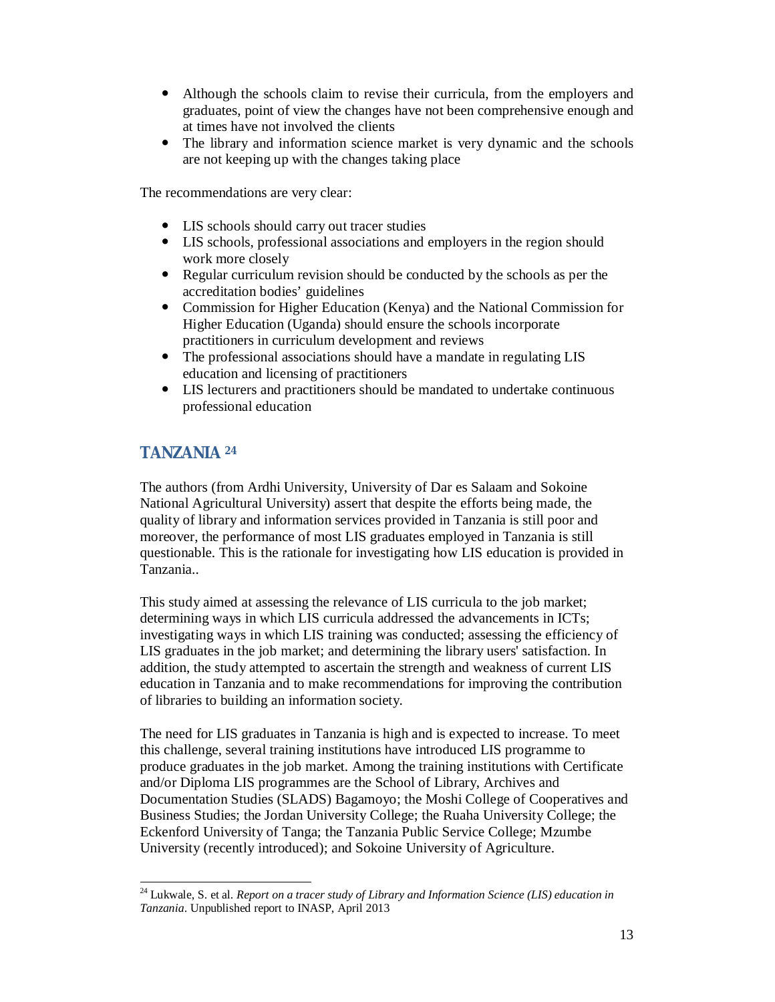- Although the schools claim to revise their curricula, from the employers and graduates, point of view the changes have not been comprehensive enough and at times have not involved the clients
- The library and information science market is very dynamic and the schools are not keeping up with the changes taking place

The recommendations are very clear:

- LIS schools should carry out tracer studies
- LIS schools, professional associations and employers in the region should work more closely
- Regular curriculum revision should be conducted by the schools as per the accreditation bodies' guidelines
- Commission for Higher Education (Kenya) and the National Commission for Higher Education (Uganda) should ensure the schools incorporate practitioners in curriculum development and reviews
- The professional associations should have a mandate in regulating LIS education and licensing of practitioners
- LIS lecturers and practitioners should be mandated to undertake continuous professional education

# **TANZANIA <sup>24</sup>**

The authors (from Ardhi University, University of Dar es Salaam and Sokoine National Agricultural University) assert that despite the efforts being made, the quality of library and information services provided in Tanzania is still poor and moreover, the performance of most LIS graduates employed in Tanzania is still questionable. This is the rationale for investigating how LIS education is provided in Tanzania..

This study aimed at assessing the relevance of LIS curricula to the job market; determining ways in which LIS curricula addressed the advancements in ICTs; investigating ways in which LIS training was conducted; assessing the efficiency of LIS graduates in the job market; and determining the library users' satisfaction. In addition, the study attempted to ascertain the strength and weakness of current LIS education in Tanzania and to make recommendations for improving the contribution of libraries to building an information society.

The need for LIS graduates in Tanzania is high and is expected to increase. To meet this challenge, several training institutions have introduced LIS programme to produce graduates in the job market. Among the training institutions with Certificate and/or Diploma LIS programmes are the School of Library, Archives and Documentation Studies (SLADS) Bagamoyo; the Moshi College of Cooperatives and Business Studies; the Jordan University College; the Ruaha University College; the Eckenford University of Tanga; the Tanzania Public Service College; Mzumbe University (recently introduced); and Sokoine University of Agriculture.

 $\overline{a}$ <sup>24</sup> Lukwale, S. et al. *Report on a tracer study of Library and Information Science (LIS) education in Tanzania*. Unpublished report to INASP, April 2013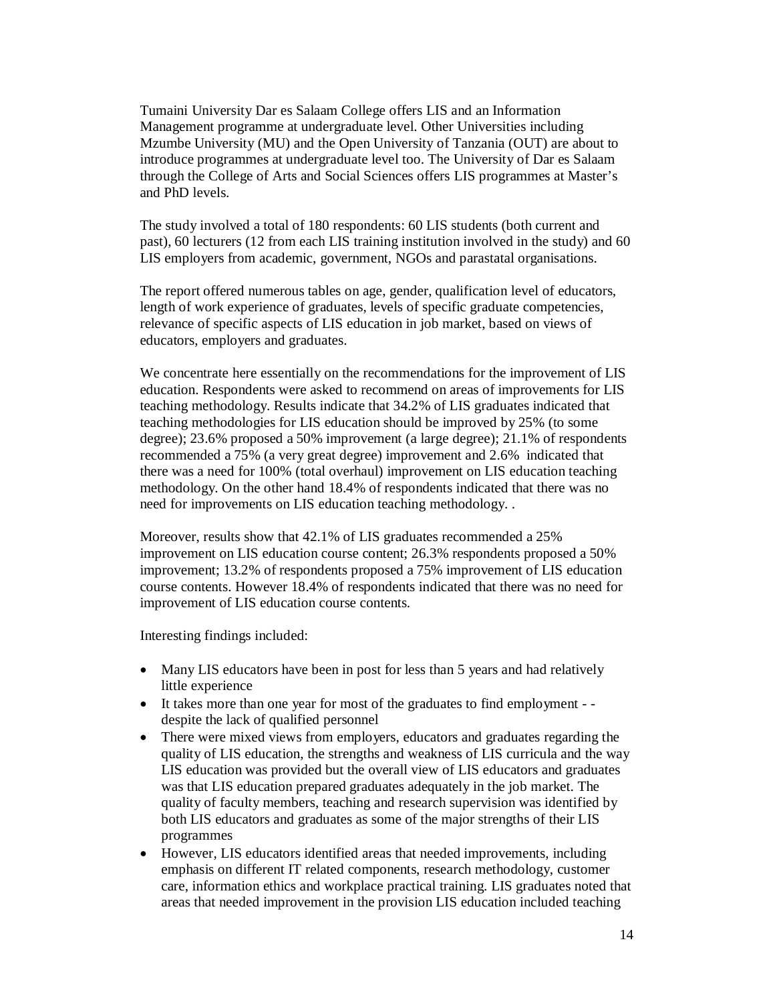Tumaini University Dar es Salaam College offers LIS and an Information Management programme at undergraduate level. Other Universities including Mzumbe University (MU) and the Open University of Tanzania (OUT) are about to introduce programmes at undergraduate level too. The University of Dar es Salaam through the College of Arts and Social Sciences offers LIS programmes at Master's and PhD levels.

The study involved a total of 180 respondents: 60 LIS students (both current and past), 60 lecturers (12 from each LIS training institution involved in the study) and 60 LIS employers from academic, government, NGOs and parastatal organisations.

The report offered numerous tables on age, gender, qualification level of educators, length of work experience of graduates, levels of specific graduate competencies, relevance of specific aspects of LIS education in job market, based on views of educators, employers and graduates.

We concentrate here essentially on the recommendations for the improvement of LIS education. Respondents were asked to recommend on areas of improvements for LIS teaching methodology. Results indicate that 34.2% of LIS graduates indicated that teaching methodologies for LIS education should be improved by 25% (to some degree); 23.6% proposed a 50% improvement (a large degree); 21.1% of respondents recommended a 75% (a very great degree) improvement and 2.6% indicated that there was a need for 100% (total overhaul) improvement on LIS education teaching methodology. On the other hand 18.4% of respondents indicated that there was no need for improvements on LIS education teaching methodology. .

Moreover, results show that 42.1% of LIS graduates recommended a 25% improvement on LIS education course content; 26.3% respondents proposed a 50% improvement; 13.2% of respondents proposed a 75% improvement of LIS education course contents. However 18.4% of respondents indicated that there was no need for improvement of LIS education course contents.

Interesting findings included:

- Many LIS educators have been in post for less than 5 years and had relatively little experience
- It takes more than one year for most of the graduates to find employment despite the lack of qualified personnel
- There were mixed views from employers, educators and graduates regarding the quality of LIS education, the strengths and weakness of LIS curricula and the way LIS education was provided but the overall view of LIS educators and graduates was that LIS education prepared graduates adequately in the job market. The quality of faculty members, teaching and research supervision was identified by both LIS educators and graduates as some of the major strengths of their LIS programmes
- However, LIS educators identified areas that needed improvements, including emphasis on different IT related components, research methodology, customer care, information ethics and workplace practical training. LIS graduates noted that areas that needed improvement in the provision LIS education included teaching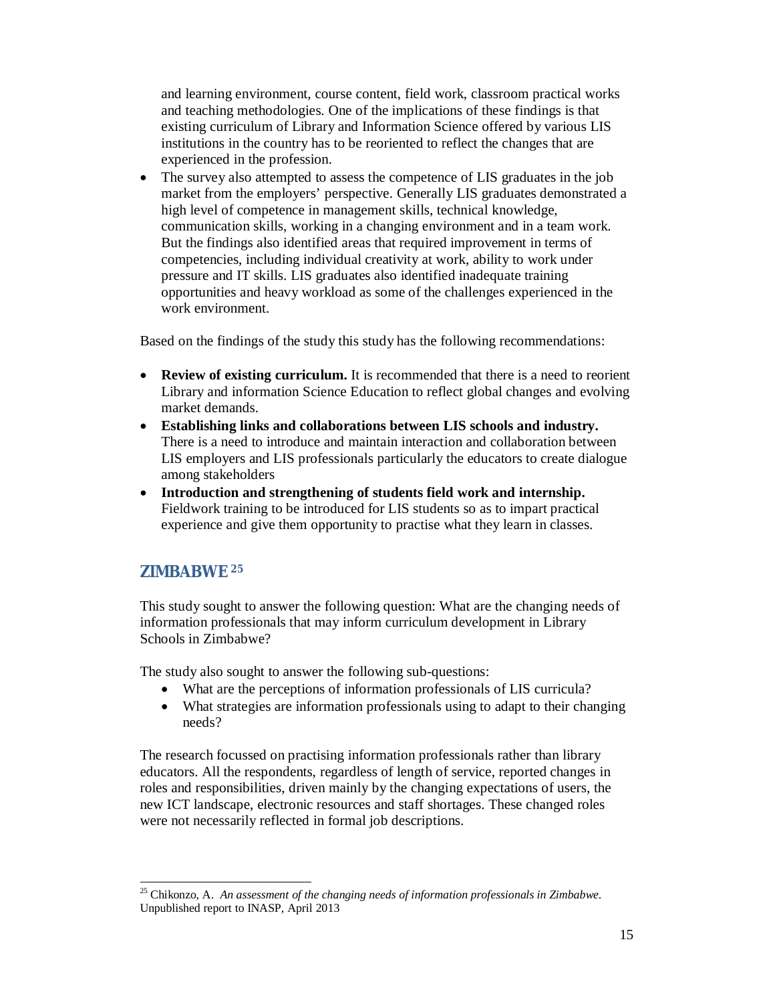and learning environment, course content, field work, classroom practical works and teaching methodologies. One of the implications of these findings is that existing curriculum of Library and Information Science offered by various LIS institutions in the country has to be reoriented to reflect the changes that are experienced in the profession.

• The survey also attempted to assess the competence of LIS graduates in the job market from the employers' perspective. Generally LIS graduates demonstrated a high level of competence in management skills, technical knowledge, communication skills, working in a changing environment and in a team work. But the findings also identified areas that required improvement in terms of competencies, including individual creativity at work, ability to work under pressure and IT skills. LIS graduates also identified inadequate training opportunities and heavy workload as some of the challenges experienced in the work environment.

Based on the findings of the study this study has the following recommendations:

- **Review of existing curriculum.** It is recommended that there is a need to reorient Library and information Science Education to reflect global changes and evolving market demands.
- **Establishing links and collaborations between LIS schools and industry.** There is a need to introduce and maintain interaction and collaboration between LIS employers and LIS professionals particularly the educators to create dialogue among stakeholders
- **Introduction and strengthening of students field work and internship.** Fieldwork training to be introduced for LIS students so as to impart practical experience and give them opportunity to practise what they learn in classes.

## **ZIMBABWE <sup>25</sup>**

This study sought to answer the following question: What are the changing needs of information professionals that may inform curriculum development in Library Schools in Zimbabwe?

The study also sought to answer the following sub-questions:

- What are the perceptions of information professionals of LIS curricula?
- What strategies are information professionals using to adapt to their changing needs?

The research focussed on practising information professionals rather than library educators. All the respondents, regardless of length of service, reported changes in roles and responsibilities, driven mainly by the changing expectations of users, the new ICT landscape, electronic resources and staff shortages. These changed roles were not necessarily reflected in formal job descriptions.

 $\overline{a}$ <sup>25</sup> Chikonzo, A. *An assessment of the changing needs of information professionals in Zimbabwe*. Unpublished report to INASP, April 2013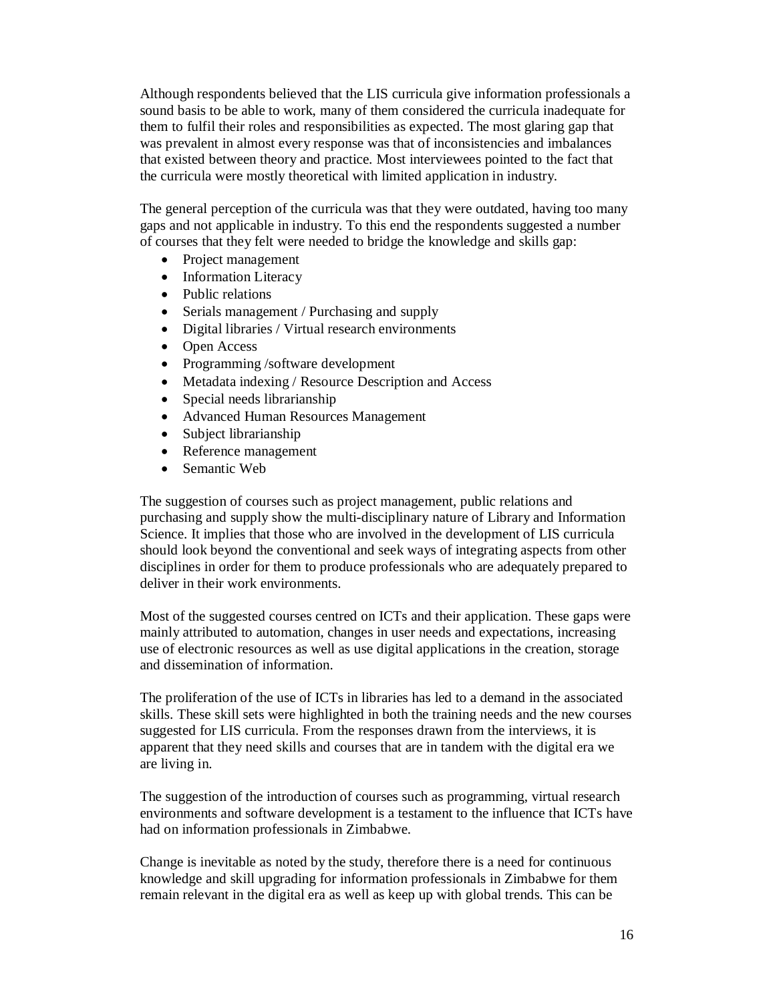Although respondents believed that the LIS curricula give information professionals a sound basis to be able to work, many of them considered the curricula inadequate for them to fulfil their roles and responsibilities as expected. The most glaring gap that was prevalent in almost every response was that of inconsistencies and imbalances that existed between theory and practice. Most interviewees pointed to the fact that the curricula were mostly theoretical with limited application in industry.

The general perception of the curricula was that they were outdated, having too many gaps and not applicable in industry. To this end the respondents suggested a number of courses that they felt were needed to bridge the knowledge and skills gap:

- Project management
- Information Literacy
- Public relations
- Serials management / Purchasing and supply
- Digital libraries / Virtual research environments
- Open Access
- Programming /software development
- Metadata indexing / Resource Description and Access
- Special needs librarianship
- Advanced Human Resources Management
- Subject librarianship
- Reference management
- Semantic Web

The suggestion of courses such as project management, public relations and purchasing and supply show the multi-disciplinary nature of Library and Information Science. It implies that those who are involved in the development of LIS curricula should look beyond the conventional and seek ways of integrating aspects from other disciplines in order for them to produce professionals who are adequately prepared to deliver in their work environments.

Most of the suggested courses centred on ICTs and their application. These gaps were mainly attributed to automation, changes in user needs and expectations, increasing use of electronic resources as well as use digital applications in the creation, storage and dissemination of information.

The proliferation of the use of ICTs in libraries has led to a demand in the associated skills. These skill sets were highlighted in both the training needs and the new courses suggested for LIS curricula. From the responses drawn from the interviews, it is apparent that they need skills and courses that are in tandem with the digital era we are living in.

The suggestion of the introduction of courses such as programming, virtual research environments and software development is a testament to the influence that ICTs have had on information professionals in Zimbabwe.

Change is inevitable as noted by the study, therefore there is a need for continuous knowledge and skill upgrading for information professionals in Zimbabwe for them remain relevant in the digital era as well as keep up with global trends. This can be